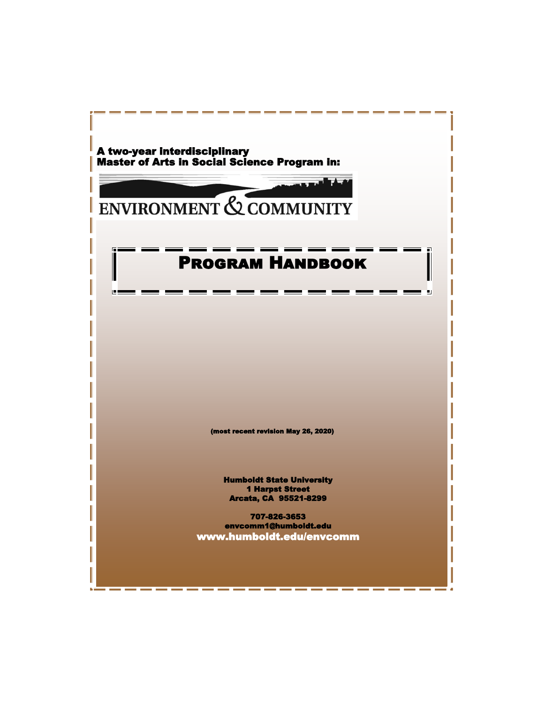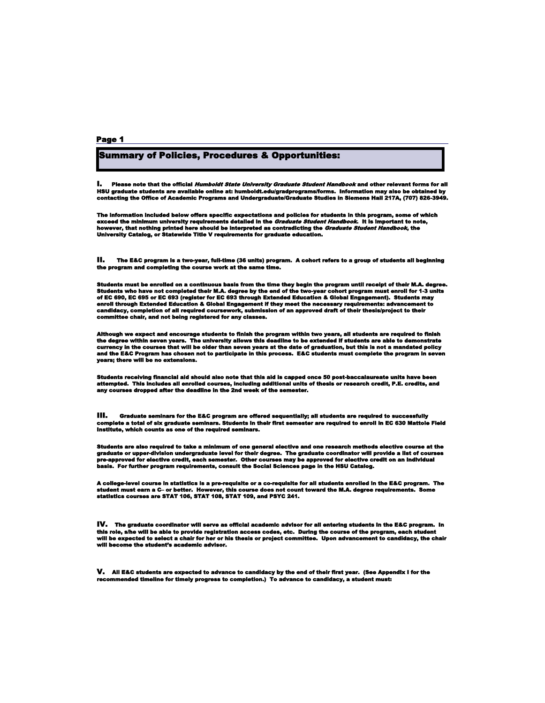# Summary of Policies, Procedures & Opportunities:

I. Please note that the official *Humboldt State University Graduate Student Handbook* and other relevant forms for all HSU graduate students are available online at: humboldt.edu/gradprograms/forms. Information may also be obtained by<br>contacting the Office of Academic Programs and Undergraduate/Graduate Studies in Siemens Hall 217A, (707)

The information included below offers specific expectations and policies for students in this program, some of which<br>exceed the minimum university requirements detailed in the *Graduate Student Handbook*. It is important t

II. The E&C program is a two-year, full-time (36 units) program. A cohort refers to a group of students all beginning the program and completing the course work at the same time.

Students must be enrolled on a continuous basis from the time they begin the program until receipt of their M.A. degree.<br>Students who have not completed their M.A. degree by the end of the two-year cohort program must enro

Although we expect and encourage students to finish the program within two years, all students are required to finish<br>the degree within seven years. The university allows this deadline to be extended if students are able t

Students receiving financial aid should also note that this aid is capped once 50 post-baccalaureate units have been<br>attempted. This includes all enrolled courses, including additional units of thesis or research credit,

**ill.** Graduate seminars for the E&C program are offered sequentially; all students are required to successfully<br>complete a total of six graduate seminars. Students in their first semester are required to enroll in EC

Students are also required to take a minimum of one general elective and one research methods elective course at the<br>graduate or upper-division undergraduate level for their degree. The graduate coordinator will provide a

A college-level course in statistics is a pre-requisite or a co-requisite for all students enrolled in the E&C program. The<br>student must earn a C– or better. However, this course does not count toward the M.A. degree req

IV. The graduate coordinator will serve as official academic advisor for all entering students in the E&C program. In this role, s/he will be able to provide registration access codes, etc. During the course of the program, each student<br>will be expected to select a chair for her or his thesis or project committee. Upon advancement to ca

V. All E&C students are expected to advance to candidacy by the end of their first year. (See Appendix I for the recommended timeline for timely progress to completion.) To advance to candidacy, a student must: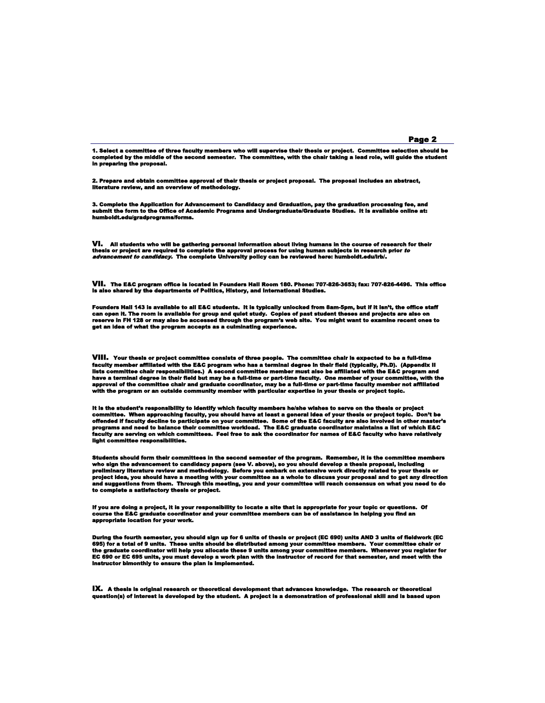1. Select a committee of three faculty members who will supervise their thesis or project. Committee selection should be<br>completed by the middle of the second semester. The committee, with the chair taking a lead role, w in preparing the proposal.

2. Prepare and obtain committee approval of their thesis or project proposal. The proposal includes an abstract, literature review, and an overview of methodology.

3. Complete the Application for Advancement to Candidacy and Graduation, pay the graduation processing fee, and<br>submit the form to the Office of Academic Programs and Undergraduate/Graduate Studies. It is avaliable online humboldt.edu/gradprograms/forms.

**VI.** All students who will be gathering personal information about living humans in the course of research for their<br>thesis or project are required to complete the approval process for using human subjects in research pri

VII. The E&C program office is located in Founders Hall Room 180. Phone: 707-826-3653; fax: 707-826-4496. This office is also shared by the departments of Politics, History, and International Studies.

Founders Hall 143 is available to all E&C students. It is typically unlocked from 8am-5pm, but if it isn't, the office staff<br>can open it. The room is available for group and quiet study. Coples of past student theses and p

VIII. Your thesis or project committee consists of three people. The committee chair is expected to be a full-time faculty member affiliated with the E&C program who has a terminal degree in their field (typically, Ph.D). (Appendix II<br>lists committee chair responsibilities.) A second committee member must also be affiliated with the E&

it is the student's responsibility to identify which faculty members he/she wishes to serve on the thesis or project<br>committee. When approaching faculty, you should have at least a general idea of your thesis or project to light committee responsibili

Students should form their committees in the second semester of the program. Remember, it is the committee members<br>who sign the advancement to candidacy papers (see V. above), so you should develop a thesis proposal, inclu

If you are doing a project, it is your responsibility to locate a site that is appropriate for your topic or questions. Of<br>course the E&C graduate coordinator and your committee members can be of assistance in helping you appropriate location for your work.

During the fourth semester, you should sign up for 6 units of thesis or project (EC 690) units AND 3 units of fieldwork (EC<br>695) for a total of 9 units. These units should be distributed among your committee members. Your

IX. A thesis is original research or theoretical development that advances knowledge. The research or theoretical question(s) of interest is developed by the student. A project is a demonstration of professional skill and is based upon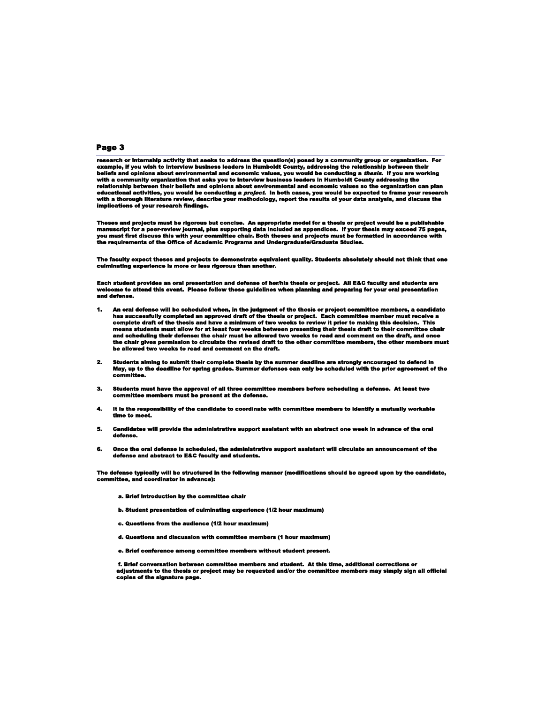research or internship activity that seeks to address the question(s) posed by a community group or organization. For<br>example, if you wish to interview business leaders in Humboldt County, addressing the relationship betw beliefs and opinions about environmental and economic values, you would be conducting a *thesis*. If you are working<br>with a community organization that asks you to interview business leaders in Humboldt County addressing t

Theses and projects must be rigorous but concise. An appropriate model for a thesis or project would be a publishable<br>manuscript for a peer-review journal, plus supporting data included as appendices. If your thesis may

The faculty expect theses and projects to demonstrate equivalent quality. Students absolutely should not think that one culminating experience is more or less rigorous than another.

Each student provides an oral presentation and defense of her/his thesis or project. All E&C faculty and students are<br>welcome to attend this event. Please follow these guidelines when planning and preparing for your oral and defense.

- 1. An oral defense will be scheduled when, in the judgment of the thesis or project committee members, a candidate has successfully completed an approved draft of the thesis or project. Each committee member must receive a be allowed two weeks to read and comment on the draft.
- 2. Students aiming to submit their complete thesis by the summer deadline are strongly encouraged to defend in May, up to the deadline for spring grades. Summer defenses can only be scheduled with the prior agreement of the committee.
- 3. Students must have the approval of all three committee members before scheduling a defense. At least two committee members must be present at the defense.
- 4. It is the responsibility of the candidate to coordinate with committee members to identify a mutually workable time to meet.
- 5. Candidates will provide the administrative support assistant with an abstract one week in advance of the oral defense.
- 6. Once the oral defense is scheduled, the administrative support assistant will circulate an announcement of the defense and abstract to E&C faculty and students.

The defense typically will be structured in the following manner (modifications should be agreed upon by the candidate, committee, and coordinator in advance):

- a. Brief introduction by the committee chair
- b. Student presentation of culminating experience (1/2 hour maximum)
- c. Questions from the audience (1/2 hour maximum)
- d. Questions and discussion with committee members (1 hour maximum)
- e. Brief conference among committee members without student present.

 f. Brief conversation between committee members and student. At this time, additional corrections or adjustments to the thesis or project may be requested and/or the committee members may simply sign all official copies of the signature page.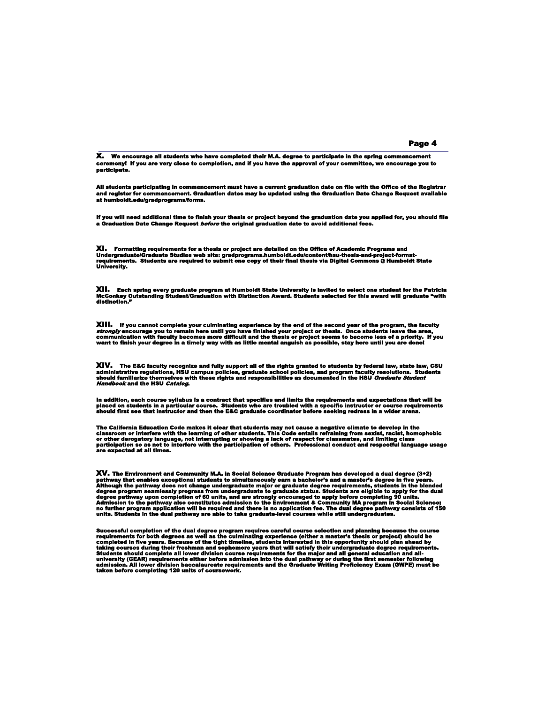# X. We encourage all students who have completed their M.A. degree to participate in the spring commencement ceremony! If you are very close to completion, and if you have the approval of your committee, we encourage you to participate.

All students participating in commencement must have a current graduation date on file with the Office of the Registrar<br>and register for commencement. Graduation dates may be updated using the Graduation Date Change Reques

If you will need additional time to finish your thesis or project beyond the graduation date you applied for, you should file<br>a Graduation Date Change Request *before* the original graduation date to avoid additional fees.

**XI. Formatting requirements for a thesis or project are detailed on the Office of Academic Programs and<br>Undergraduate/Graduate Studies web site: gradprograms.humboldt.edu/content/hsu-thesis-and-project-format-<br>requireme** 

XII. Each spring every graduate program at Humboldt State University is invited to select one student for the Patricia<br>McConkey Outstanding Student/Graduation with Distinction Award. Students selected for this award wi

**XIII.** If you cannot complete your culminating experience by the end of the second year of the program, the faculty<br>*strongly* encourage you to remain here until you have finished your project or thesis. Once students lea

**XIV.** The E&C faculty recognize and fully support all of the rights granted to students by federal law, state law, CSU<br>administrative regulations, HSU campus policies, graduate school policies, and program faculty resolut

In addition, each course syllabus is a contract that specifies and limits the requirements and expectations that will be<br>placed on students in a particular course. Students who are troubled with a specific instructor or c

The California Education Code makes it clear that students may not cause a negative climate to develop in the<br>classroom or interfere with the learning of other students. This Code entails refraining from sexist, racist, ho

XV. The Environment and Community M.A. In Social Science Graduate Program has developed a dual degree (3+2)<br>pathway that enables exceptional students to simultaneously earn a bachelor's and a master's degree in five years.

Successful completion of the dual degree program requires careful course selection and planning because the course<br>requirements for both degrees as well as the culminating experience (either a master's thesis or project) s

#### Page 4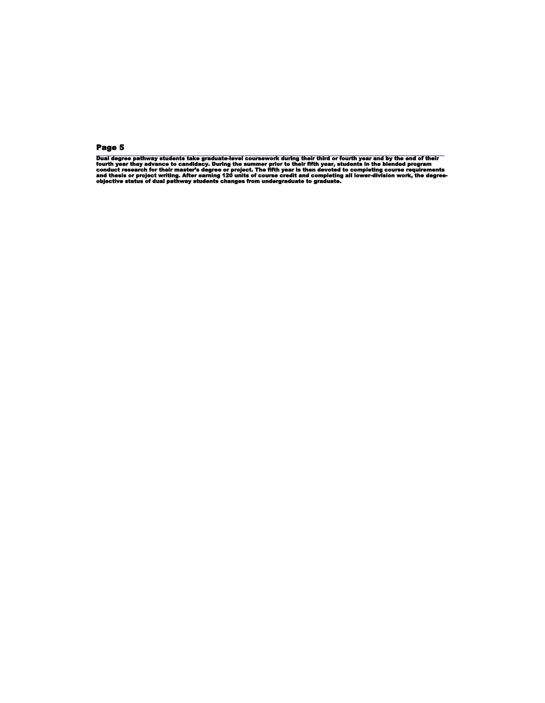Dual degree pathway students take graduate-level coursework during their third or fourth year and by the end of their<br>fourth year they advance to candidacy. During the summer prior to their fifth year, students in the blen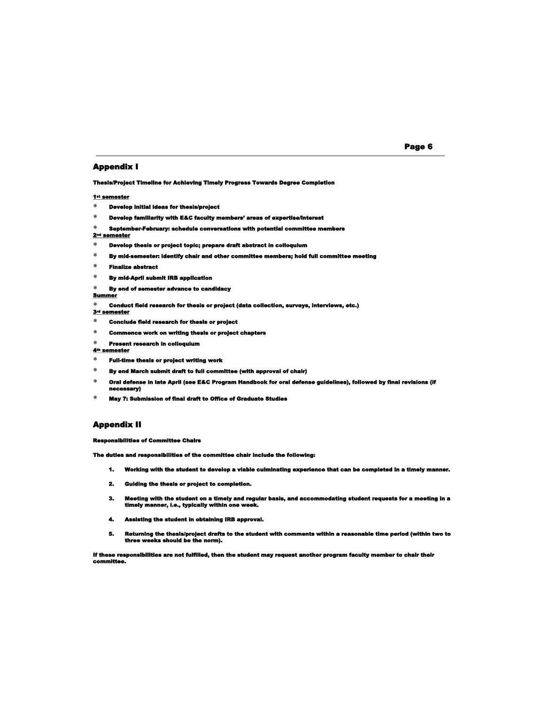### Appendix I

Thesis/Project Timeline for Achieving Timely Progress Towards Degree Completion

#### 1st semester

- Develop initial ideas for thesis/project
- Develop familiarity with E&C faculty members' areas of expertise/interest
- September-February: schedule conversations with potential committee members

#### $2<sup>nd</sup>$  sem

- $*$  Develop thesis or project topic; prepare draft abstract in colloquium
- $\ast$  By mid-semester: identify chair and other committee members; hold full committee meeting
- Finalize abstract
- $*$  By mid-April submit IRB application
- $*$  By end of semester advance to candidacy

## Summer

- Conduct field research for thesis or project (data collection, surveys, interviews, etc.) 3rd semester
- 
- Conclude field research for thesis or project
- Commence work on writing thesis or project chapters
- Present research in colloquium

#### 4th semester

- $*$  Full-time thesis or project writing work
- By end March submit draft to full committee (with approval of chair)
- $\,^*$  Oral defense in late April (see E&C Program Handbook for oral defense guidelines), followed by final revisions (if ecessary)
- $*$  May 7: Submission of final draft to Office of Graduate Studies

## Appendix II

Responsibilities of Committee Chairs

The duties and responsibilities of the committee chair include the following:

- 1. Working with the student to develop a viable culminating experience that can be completed in a timely manner.
- 2. Guiding the thesis or project to completion.
- 3. Meeting with the student on a timely and regular basis, and accommodating student requests for a meeting in a timely manner, i.e., typically within one week.
- 4. Assisting the student in obtaining IRB approval.
- 5. Returning the thesis/project drafts to the student with comments within a reasonable time period (within two to three weeks should be the norm).

If these responsibilities are not fulfilled, then the student may request another program faculty member to chair their committee.